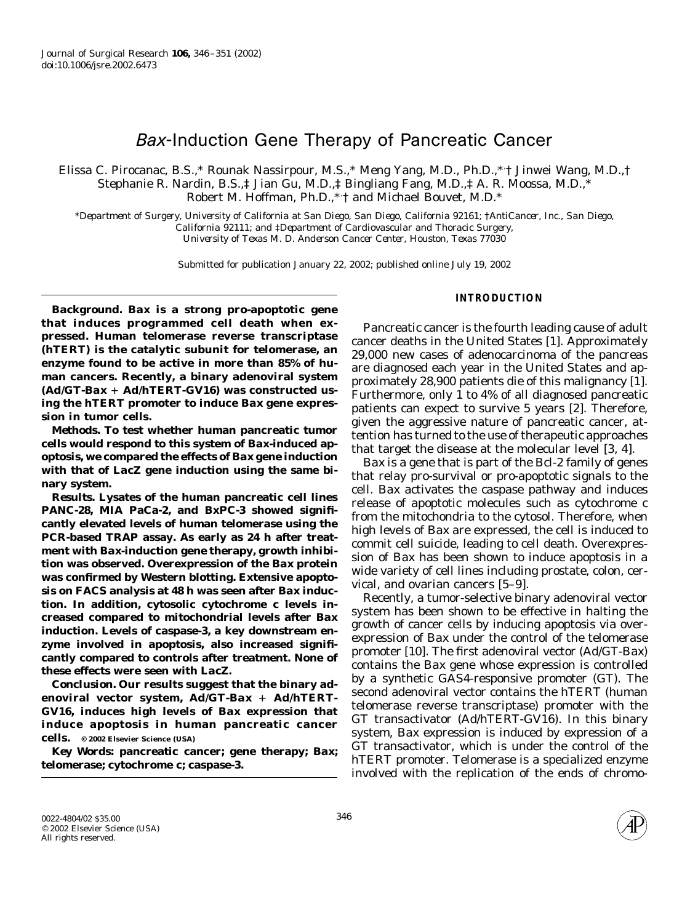# Bax-Induction Gene Therapy of Pancreatic Cancer

Elissa C. Pirocanac, B.S.,\* Rounak Nassirpour, M.S.,\* Meng Yang, M.D., Ph.D.,\*, † Jinwei Wang, M.D.,† Stephanie R. Nardin, B.S.,‡ Jian Gu, M.D.,‡ Bingliang Fang, M.D.,‡ A. R. Moossa, M.D.,\* Robert M. Hoffman, Ph.D.,\*, † and Michael Bouvet, M.D.\*

\**Department of Surgery, University of California at San Diego, San Diego, California 92161;* †*AntiCancer, Inc., San Diego, California 92111; and* ‡*Department of Cardiovascular and Thoracic Surgery, University of Texas M. D. Anderson Cancer Center, Houston, Texas 77030*

Submitted for publication January 22, 2002; published online July 19, 2002

*Background. Bax* **is a strong pro-apoptotic gene that induces programmed cell death when expressed. Human telomerase reverse transcriptase (hTERT) is the catalytic subunit for telomerase, an enzyme found to be active in more than 85% of human cancers. Recently, a binary adenoviral system (Ad/GT-***Bax* **Ad/hTERT-GV16) was constructed using the hTERT promoter to induce** *Bax* **gene expression in tumor cells.**

*Methods.* **To test whether human pancreatic tumor cells would respond to this system of** *Bax***-induced apoptosis, we compared the effects of** *Bax* **gene induction with that of** *LacZ* **gene induction using the same binary system.**

*Results.* **Lysates of the human pancreatic cell lines PANC-28, MIA PaCa-2, and BxPC-3 showed significantly elevated levels of human telomerase using the PCR-based TRAP assay. As early as 24 h after treatment with** *Bax***-induction gene therapy, growth inhibition was observed. Overexpression of the** *Bax* **protein was confirmed by Western blotting. Extensive apoptosis on FACS analysis at 48 h was seen after** *Bax* **induction. In addition, cytosolic cytochrome** *c* **levels increased compared to mitochondrial levels after** *Bax* **induction. Levels of caspase-3, a key downstream enzyme involved in apoptosis, also increased significantly compared to controls after treatment. None of these effects were seen with** *LacZ***.**

*Conclusion.* **Our results suggest that the binary adenoviral vector system, Ad/GT-***Bax* **Ad/hTERT-GV16, induces high levels of** *Bax* **expression that induce apoptosis in human pancreatic cancer cells. © 2002 Elsevier Science (USA)**

*Key Words:* **pancreatic cancer; gene therapy;** *Bax***; telomerase; cytochrome** *c***; caspase-3.**

## **INTRODUCTION**

Pancreatic cancer is the fourth leading cause of adult cancer deaths in the United States [1]. Approximately 29,000 new cases of adenocarcinoma of the pancreas are diagnosed each year in the United States and approximately 28,900 patients die of this malignancy [1]. Furthermore, only 1 to 4% of all diagnosed pancreatic patients can expect to survive 5 years [2]. Therefore, given the aggressive nature of pancreatic cancer, attention has turned to the use of therapeutic approaches that target the disease at the molecular level [3, 4].

*Bax* is a gene that is part of the Bcl-2 family of genes that relay pro-survival or pro-apoptotic signals to the cell. *Bax* activates the caspase pathway and induces release of apoptotic molecules such as cytochrome *c* from the mitochondria to the cytosol. Therefore, when high levels of *Bax* are expressed, the cell is induced to commit cell suicide, leading to cell death. Overexpression of *Bax* has been shown to induce apoptosis in a wide variety of cell lines including prostate, colon, cervical, and ovarian cancers [5–9].

Recently, a tumor-selective binary adenoviral vector system has been shown to be effective in halting the growth of cancer cells by inducing apoptosis via overexpression of *Bax* under the control of the telomerase promoter [10]. The first adenoviral vector (Ad/GT-*Bax*) contains the *Bax* gene whose expression is controlled by a synthetic GAS4-responsive promoter (GT). The second adenoviral vector contains the *hTERT* (human telomerase reverse transcriptase) promoter with the GT transactivator (Ad/hTERT-GV16). In this binary system, *Bax* expression is induced by expression of a GT transactivator, which is under the control of the *hTERT* promoter. Telomerase is a specialized enzyme involved with the replication of the ends of chromo-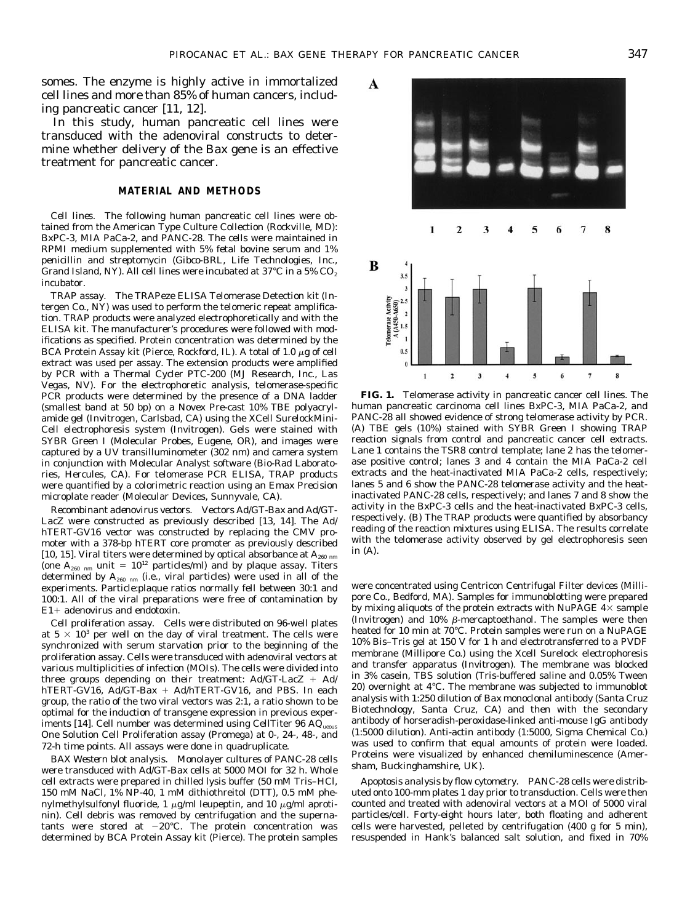A

в

3.5

 $0.5$ 

elomerase Activit<br>A (A450-A650)  $\overline{1}$  $1.5$ 

somes. The enzyme is highly active in immortalized cell lines and more than 85% of human cancers, including pancreatic cancer [11, 12].

In this study, human pancreatic cell lines were transduced with the adenoviral constructs to determine whether delivery of the *Bax* gene is an effective treatment for pancreatic cancer.

# **MATERIAL AND METHODS**

*Cell lines.* The following human pancreatic cell lines were obtained from the American Type Culture Collection (Rockville, MD): BxPC-3, MIA PaCa-2, and PANC-28. The cells were maintained in RPMI medium supplemented with 5% fetal bovine serum and 1% penicillin and streptomycin (Gibco-BRL, Life Technologies, Inc., Grand Island, NY). All cell lines were incubated at 37°C in a 5%  $CO<sub>2</sub>$ incubator.

*TRAP assay.* The TRAPeze ELISA Telomerase Detection kit (Intergen Co., NY) was used to perform the telomeric repeat amplification. TRAP products were analyzed electrophoretically and with the ELISA kit. The manufacturer's procedures were followed with modifications as specified. Protein concentration was determined by the BCA Protein Assay kit (Pierce, Rockford, IL). A total of 1.0  $\mu$ g of cell extract was used per assay. The extension products were amplified by PCR with a Thermal Cycler PTC-200 (MJ Research, Inc., Las Vegas, NV). For the electrophoretic analysis, telomerase-specific PCR products were determined by the presence of a DNA ladder (smallest band at 50 bp) on a Novex Pre-cast 10% TBE polyacrylamide gel (Invitrogen, Carlsbad, CA) using the XCell SurelockMini-Cell electrophoresis system (Invitrogen). Gels were stained with SYBR Green I (Molecular Probes, Eugene, OR), and images were captured by a UV transilluminometer (302 nm) and camera system in conjunction with Molecular Analyst software (Bio-Rad Laboratories, Hercules, CA). For telomerase PCR ELISA, TRAP products were quantified by a colorimetric reaction using an Emax Precision microplate reader (Molecular Devices, Sunnyvale, CA).

*Recombinant adenovirus vectors.* Vectors Ad/GT-*Bax* and Ad/GT-*LacZ* were constructed as previously described [13, 14]. The Ad/ hTERT-GV16 vector was constructed by replacing the CMV promoter with a 378-bp hTERT core promoter as previously described [10, 15]. Viral titers were determined by optical absorbance at  $A_{260 \text{ nm}}$ (one  $A_{260 \text{ nm}}$  unit =  $10^{12}$  particles/ml) and by plaque assay. Titers determined by  $A_{260 \text{ nm}}$  (i.e., viral particles) were used in all of the experiments. Particle:plaque ratios normally fell between 30:1 and 100:1. All of the viral preparations were free of contamination by E1- adenovirus and endotoxin.

*Cell proliferation assay.* Cells were distributed on 96-well plates at  $5 \times 10^3$  per well on the day of viral treatment. The cells were synchronized with serum starvation prior to the beginning of the proliferation assay. Cells were transduced with adenoviral vectors at various multiplicities of infection (MOIs). The cells were divided into three groups depending on their treatment: Ad/GT-*LacZ* + Ad/ hTERT-GV16, Ad/GT-*Bax* - Ad/hTERT-GV16, and PBS. In each group, the ratio of the two viral vectors was 2:1, a ratio shown to be optimal for the induction of transgene expression in previous experiments [14]. Cell number was determined using CellTiter  $96$  AQ<sub>ueous</sub> One Solution Cell Proliferation assay (Promega) at 0-, 24-, 48-, and 72-h time points. All assays were done in quadruplicate.

*BAX Western blot analysis.* Monolayer cultures of PANC-28 cells were transduced with Ad/GT-*Bax* cells at 5000 MOI for 32 h. Whole cell extracts were prepared in chilled lysis buffer (50 mM Tris–HCl, 150 mM NaCl, 1% NP-40, 1 mM dithiothreitol (DTT), 0.5 mM phenylmethylsulfonyl fluoride, 1  $\mu$ g/ml leupeptin, and 10  $\mu$ g/ml aprotinin). Cell debris was removed by centrifugation and the supernatants were stored at  $-20^{\circ}$ C. The protein concentration was determined by BCA Protein Assay kit (Pierce). The protein samples



human pancreatic carcinoma cell lines BxPC-3, MIA PaCa-2, and PANC-28 all showed evidence of strong telomerase activity by PCR. (A) TBE gels (10%) stained with SYBR Green I showing TRAP reaction signals from control and pancreatic cancer cell extracts. Lane 1 contains the TSR8 control template; lane 2 has the telomerase positive control; lanes 3 and 4 contain the MIA PaCa-2 cell extracts and the heat-inactivated MIA PaCa-2 cells, respectively; lanes 5 and 6 show the PANC-28 telomerase activity and the heatinactivated PANC-28 cells, respectively; and lanes 7 and 8 show the activity in the BxPC-3 cells and the heat-inactivated BxPC-3 cells, respectively. (B) The TRAP products were quantified by absorbancy reading of the reaction mixtures using ELISA. The results correlate with the telomerase activity observed by gel electrophoresis seen in (A).

were concentrated using Centricon Centrifugal Filter devices (Millipore Co., Bedford, MA). Samples for immunoblotting were prepared by mixing aliquots of the protein extracts with NuPAGE  $4\times$  sample (Invitrogen) and 10%  $\beta$ -mercaptoethanol. The samples were then heated for 10 min at 70°C. Protein samples were run on a NuPAGE 10% Bis–Tris gel at 150 V for 1 h and electrotransferred to a PVDF membrane (Millipore Co.) using the Xcell Surelock electrophoresis and transfer apparatus (Invitrogen). The membrane was blocked in 3% casein, TBS solution (Tris-buffered saline and 0.05% Tween 20) overnight at 4°C. The membrane was subjected to immunoblot analysis with 1:250 dilution of *Bax* monoclonal antibody (Santa Cruz Biotechnology, Santa Cruz, CA) and then with the secondary antibody of horseradish-peroxidase-linked anti-mouse IgG antibody (1:5000 dilution). Anti-actin antibody (1:5000, Sigma Chemical Co.) was used to confirm that equal amounts of protein were loaded. Proteins were visualized by enhanced chemiluminescence (Amersham, Buckinghamshire, UK).

*Apoptosis analysis by flow cytometry.* PANC-28 cells were distributed onto 100-mm plates 1 day prior to transduction. Cells were then counted and treated with adenoviral vectors at a MOI of 5000 viral particles/cell. Forty-eight hours later, both floating and adherent cells were harvested, pelleted by centrifugation (400 *g* for 5 min), resuspended in Hank's balanced salt solution, and fixed in 70%

8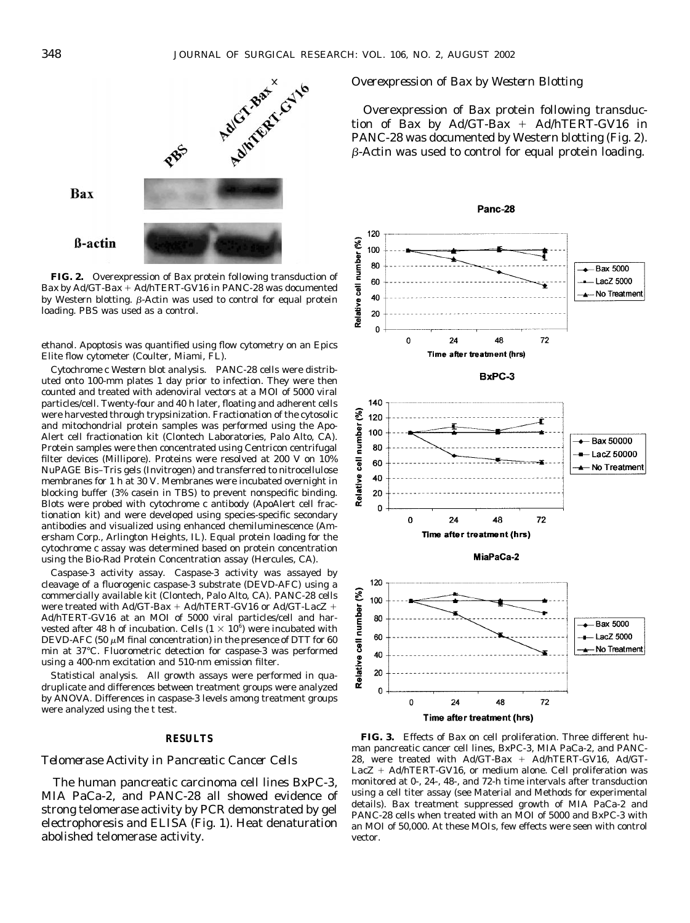

**FIG. 2.** Overexpression of *Bax* protein following transduction of *Bax* by Ad/GT-*Bax* - Ad/hTERT-GV16 in PANC-28 was documented by Western blotting.  $\beta$ -Actin was used to control for equal protein loading. PBS was used as a control.

ethanol. Apoptosis was quantified using flow cytometry on an Epics Elite flow cytometer (Coulter, Miami, FL).

*Cytochrome c Western blot analysis.* PANC-28 cells were distributed onto 100-mm plates 1 day prior to infection. They were then counted and treated with adenoviral vectors at a MOI of 5000 viral particles/cell. Twenty-four and 40 h later, floating and adherent cells were harvested through trypsinization. Fractionation of the cytosolic and mitochondrial protein samples was performed using the Apo-Alert cell fractionation kit (Clontech Laboratories, Palo Alto, CA). Protein samples were then concentrated using Centricon centrifugal filter devices (Millipore). Proteins were resolved at 200 V on 10% NuPAGE Bis–Tris gels (Invitrogen) and transferred to nitrocellulose membranes for 1 h at 30 V. Membranes were incubated overnight in blocking buffer (3% casein in TBS) to prevent nonspecific binding. Blots were probed with cytochrome *c* antibody (ApoAlert cell fractionation kit) and were developed using species-specific secondary antibodies and visualized using enhanced chemiluminescence (Amersham Corp., Arlington Heights, IL). Equal protein loading for the cytochrome *c* assay was determined based on protein concentration using the Bio-Rad Protein Concentration assay (Hercules, CA).

*Caspase-3 activity assay.* Caspase-3 activity was assayed by cleavage of a fluorogenic caspase-3 substrate (DEVD-AFC) using a commercially available kit (Clontech, Palo Alto, CA). PANC-28 cells were treated with Ad/GT-*Bax* - Ad/hTERT-GV16 or Ad/GT-*LacZ* - Ad/hTERT-GV16 at an MOI of 5000 viral particles/cell and harvested after 48 h of incubation. Cells (1  $\times$  10 $^6$ ) were incubated with DEVD-AFC (50  $\mu$ M final concentration) in the presence of DTT for 60 min at 37°C. Fluorometric detection for caspase-3 was performed using a 400-nm excitation and 510-nm emission filter.

*Statistical analysis.* All growth assays were performed in quadruplicate and differences between treatment groups were analyzed by ANOVA. Differences in caspase-3 levels among treatment groups were analyzed using the *t* test.

# **RESULTS**

### *Telomerase Activity in Pancreatic Cancer Cells*

The human pancreatic carcinoma cell lines BxPC-3, MIA PaCa-2, and PANC-28 all showed evidence of strong telomerase activity by PCR demonstrated by gel electrophoresis and ELISA (Fig. 1). Heat denaturation abolished telomerase activity.

# *Overexpression of Bax by Western Blotting*

Overexpression of *Bax* protein following transduction of *Bax* by Ad/GT-*Bax* - Ad/hTERT-GV16 in PANC-28 was documented by Western blotting (Fig. 2).  $\beta$ -Actin was used to control for equal protein loading.



**FIG. 3.** Effects of *Bax* on cell proliferation. Three different human pancreatic cancer cell lines, BxPC-3, MIA PaCa-2, and PANC-28, were treated with Ad/GT-*Bax* + Ad/hTERT-GV16, Ad/GT-*LacZ* - Ad/hTERT-GV16, or medium alone. Cell proliferation was monitored at 0-, 24-, 48-, and 72-h time intervals after transduction using a cell titer assay (see Material and Methods for experimental details). *Bax* treatment suppressed growth of MIA PaCa-2 and PANC-28 cells when treated with an MOI of 5000 and BxPC-3 with an MOI of 50,000. At these MOIs, few effects were seen with control vector.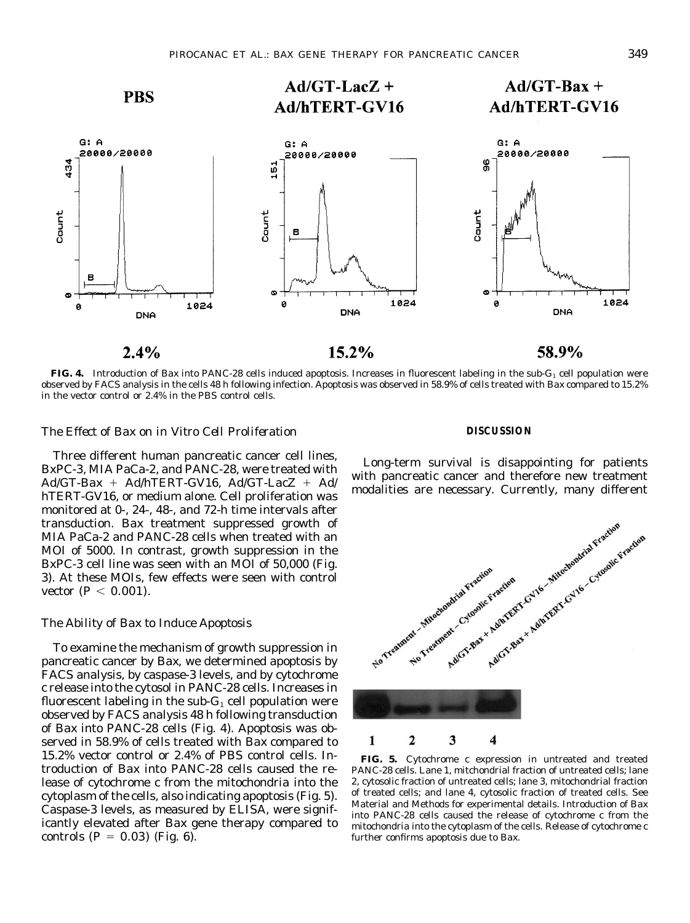

**FIG. 4.** Introduction of *Bax* into PANC-28 cells induced apoptosis. Increases in fluorescent labeling in the sub-G<sub>1</sub> cell population were observed by FACS analysis in the cells 48 h following infection. Apoptosis was observed in 58.9% of cells treated with *Bax* compared to 15.2% in the vector control or 2.4% in the PBS control cells.

# *The Effect of Bax on in Vitro Cell Proliferation*

Three different human pancreatic cancer cell lines, BxPC-3, MIA PaCa-2, and PANC-28, were treated with Ad/GT-*Bax* - Ad/hTERT-GV16, Ad/GT-*LacZ* - Ad/ hTERT-GV16, or medium alone. Cell proliferation was monitored at 0-, 24-, 48-, and 72-h time intervals after transduction. *Bax* treatment suppressed growth of MIA PaCa-2 and PANC-28 cells when treated with an MOI of 5000. In contrast, growth suppression in the BxPC-3 cell line was seen with an MOI of 50,000 (Fig. 3). At these MOIs, few effects were seen with control vector  $(P < 0.001)$ .

# *The Ability of Bax to Induce Apoptosis*

To examine the mechanism of growth suppression in pancreatic cancer by *Bax*, we determined apoptosis by FACS analysis, by caspase-3 levels, and by cytochrome *c* release into the cytosol in PANC-28 cells. Increases in fluorescent labeling in the sub- $G_1$  cell population were observed by FACS analysis 48 h following transduction of *Bax* into PANC-28 cells (Fig. 4). Apoptosis was observed in 58.9% of cells treated with *Bax* compared to 15.2% vector control or 2.4% of PBS control cells. Introduction of *Bax* into PANC-28 cells caused the release of cytochrome *c* from the mitochondria into the cytoplasm of the cells, also indicating apoptosis (Fig. 5). Caspase-3 levels, as measured by ELISA, were significantly elevated after *Bax* gene therapy compared to controls  $(P = 0.03)$  (Fig. 6).

## **DISCUSSION**

Long-term survival is disappointing for patients with pancreatic cancer and therefore new treatment modalities are necessary. Currently, many different



**FIG. 5.** Cytochrome *c* expression in untreated and treated PANC-28 cells. Lane 1, mitchondrial fraction of untreated cells; lane 2, cytosolic fraction of untreated cells; lane 3, mitochondrial fraction of treated cells; and lane 4, cytosolic fraction of treated cells. See Material and Methods for experimental details. Introduction of *Bax* into PANC-28 cells caused the release of cytochrome *c* from the mitochondria into the cytoplasm of the cells. Release of cytochrome *c* further confirms apoptosis due to *Bax*.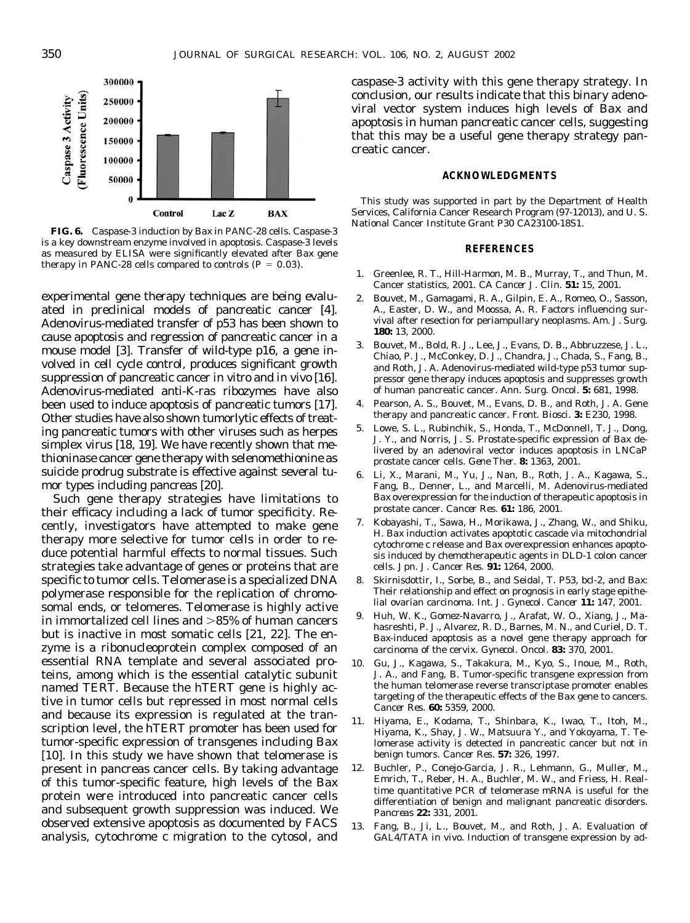

**FIG. 6.** Caspase-3 induction by *Bax* in PANC-28 cells. Caspase-3 is a key downstream enzyme involved in apoptosis. Caspase-3 levels as measured by ELISA were significantly elevated after *Bax* gene therapy in PANC-28 cells compared to controls  $(P = 0.03)$ .

experimental gene therapy techniques are being evaluated in preclinical models of pancreatic cancer [4]. Adenovirus-mediated transfer of p53 has been shown to cause apoptosis and regression of pancreatic cancer in a mouse model [3]. Transfer of wild-type p16, a gene involved in cell cycle control, produces significant growth suppression of pancreatic cancer *in vitro* and *in vivo* [16]. Adenovirus-mediated anti-K-ras ribozymes have also been used to induce apoptosis of pancreatic tumors [17]. Other studies have also shown tumorlytic effects of treating pancreatic tumors with other viruses such as herpes simplex virus [18, 19]. We have recently shown that methioninase cancer gene therapy with selenomethionine as suicide prodrug substrate is effective against several tumor types including pancreas [20].

Such gene therapy strategies have limitations to their efficacy including a lack of tumor specificity. Recently, investigators have attempted to make gene therapy more selective for tumor cells in order to reduce potential harmful effects to normal tissues. Such strategies take advantage of genes or proteins that are specific to tumor cells. Telomerase is a specialized DNA polymerase responsible for the replication of chromosomal ends, or telomeres. Telomerase is highly active in immortalized cell lines and  $>85\%$  of human cancers but is inactive in most somatic cells [21, 22]. The enzyme is a ribonucleoprotein complex composed of an essential RNA template and several associated proteins, among which is the essential catalytic subunit named TERT. Because the hTERT gene is highly active in tumor cells but repressed in most normal cells and because its expression is regulated at the transcription level, the hTERT promoter has been used for tumor-specific expression of transgenes including *Bax* [10]. In this study we have shown that telomerase is present in pancreas cancer cells. By taking advantage of this tumor-specific feature, high levels of the *Bax* protein were introduced into pancreatic cancer cells and subsequent growth suppression was induced. We observed extensive apoptosis as documented by FACS analysis, cytochrome *c* migration to the cytosol, and

caspase-3 activity with this gene therapy strategy. In conclusion, our results indicate that this binary adenoviral vector system induces high levels of *Bax* and apoptosis in human pancreatic cancer cells, suggesting that this may be a useful gene therapy strategy pancreatic cancer.

# **ACKNOWLEDGMENTS**

This study was supported in part by the Department of Health Services, California Cancer Research Program (97-12013), and U. S. National Cancer Institute Grant P30 CA23100-18S1.

#### **REFERENCES**

- 1. Greenlee, R. T., Hill-Harmon, M. B., Murray, T., and Thun, M. Cancer statistics, 2001. *CA Cancer J. Clin.* **51:** 15, 2001.
- 2. Bouvet, M., Gamagami, R. A., Gilpin, E. A., Romeo, O., Sasson, A., Easter, D. W., and Moossa, A. R. Factors influencing survival after resection for periampullary neoplasms. *Am. J. Surg.* **180:** 13, 2000.
- 3. Bouvet, M., Bold, R. J., Lee, J., Evans, D. B., Abbruzzese, J. L., Chiao, P. J., McConkey, D. J., Chandra, J., Chada, S., Fang, B., and Roth, J. A. Adenovirus-mediated wild-type p53 tumor suppressor gene therapy induces apoptosis and suppresses growth of human pancreatic cancer. *Ann. Surg. Oncol.* **5:** 681, 1998.
- 4. Pearson, A. S., Bouvet, M., Evans, D. B., and Roth, J. A. Gene therapy and pancreatic cancer. *Front. Biosci.* **3:** E230, 1998.
- 5. Lowe, S. L., Rubinchik, S., Honda, T., McDonnell, T. J., Dong, J. Y., and Norris, J. S. Prostate-specific expression of *Bax* delivered by an adenoviral vector induces apoptosis in LNCaP prostate cancer cells. *Gene Ther.* **8:** 1363, 2001.
- 6. Li, X., Marani, M., Yu, J., Nan, B., Roth, J. A., Kagawa, S., Fang, B., Denner, L., and Marcelli, M. Adenovirus-mediated *Bax* overexpression for the induction of therapeutic apoptosis in prostate cancer. *Cancer Res.* **61:** 186, 2001.
- 7. Kobayashi, T., Sawa, H., Morikawa, J., Zhang, W., and Shiku, H. *Bax* induction activates apoptotic cascade via mitochondrial cytochrome c release and *Bax* overexpression enhances apoptosis induced by chemotherapeutic agents in DLD-1 colon cancer cells. *Jpn. J. Cancer Res.* **91:** 1264, 2000.
- 8. Skirnisdottir, I., Sorbe, B., and Seidal, T. P53, bcl-2, and *Bax*: Their relationship and effect on prognosis in early stage epithelial ovarian carcinoma. *Int. J. Gynecol. Cancer* **11:** 147, 2001.
- 9. Huh, W. K., Gomez-Navarro, J., Arafat, W. O., Xiang, J., Mahasreshti, P. J., Alvarez, R. D., Barnes, M. N., and Curiel, D. T. *Bax*-induced apoptosis as a novel gene therapy approach for carcinoma of the cervix. *Gynecol. Oncol.* **83:** 370, 2001.
- 10. Gu, J., Kagawa, S., Takakura, M., Kyo, S., Inoue, M., Roth, J. A., and Fang, B. Tumor-specific transgene expression from the human telomerase reverse transcriptase promoter enables targeting of the therapeutic effects of the *Bax* gene to cancers. *Cancer Res.* **60:** 5359, 2000.
- 11. Hiyama, E., Kodama, T., Shinbara, K., Iwao, T., Itoh, M., Hiyama, K., Shay, J. W., Matsuura Y., and Yokoyama, T. Telomerase activity is detected in pancreatic cancer but not in benign tumors. *Cancer Res.* **57:** 326, 1997.
- 12. Buchler, P., Conejo-Garcia, J. R., Lehmann, G., Muller, M., Emrich, T., Reber, H. A., Buchler, M. W., and Friess, H. Realtime quantitative PCR of telomerase mRNA is useful for the differentiation of benign and malignant pancreatic disorders. *Pancreas* **22:** 331, 2001.
- 13. Fang, B., Ji, L., Bouvet, M., and Roth, J. A. Evaluation of GAL4/TATA *in vivo*. Induction of transgene expression by ad-